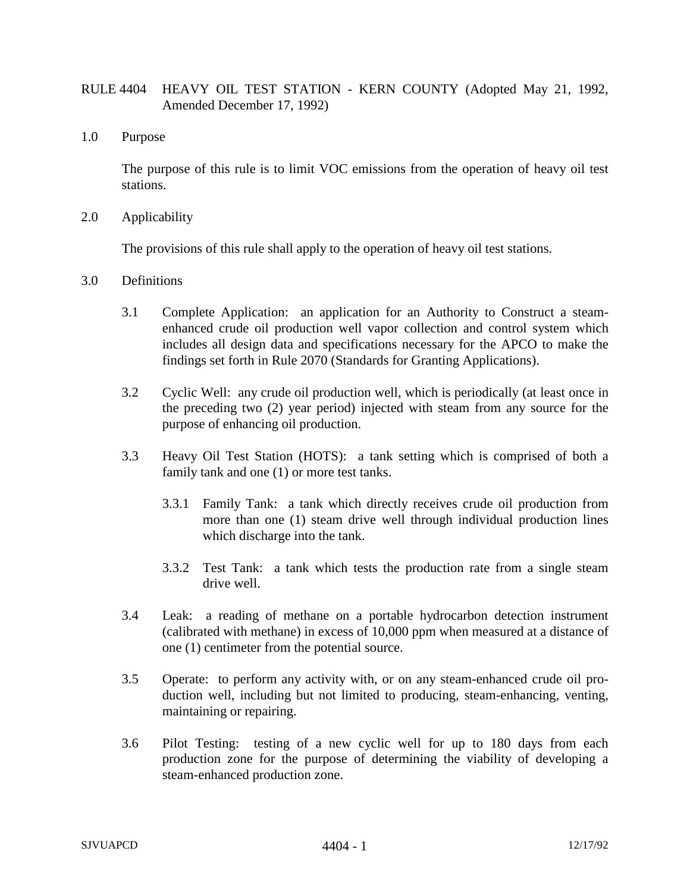## RULE 4404 HEAVY OIL TEST STATION - KERN COUNTY (Adopted May 21, 1992, Amended December 17, 1992)

1.0 Purpose

The purpose of this rule is to limit VOC emissions from the operation of heavy oil test stations.

2.0 Applicability

The provisions of this rule shall apply to the operation of heavy oil test stations.

- 3.0 Definitions
	- 3.1 Complete Application: an application for an Authority to Construct a steamenhanced crude oil production well vapor collection and control system which includes all design data and specifications necessary for the APCO to make the findings set forth in Rule 2070 (Standards for Granting Applications).
	- 3.2 Cyclic Well: any crude oil production well, which is periodically (at least once in the preceding two (2) year period) injected with steam from any source for the purpose of enhancing oil production.
	- 3.3 Heavy Oil Test Station (HOTS): a tank setting which is comprised of both a family tank and one (1) or more test tanks.
		- 3.3.1 Family Tank: a tank which directly receives crude oil production from more than one (1) steam drive well through individual production lines which discharge into the tank.
		- 3.3.2 Test Tank: a tank which tests the production rate from a single steam drive well.
	- 3.4 Leak: a reading of methane on a portable hydrocarbon detection instrument (calibrated with methane) in excess of 10,000 ppm when measured at a distance of one (1) centimeter from the potential source.
	- 3.5 Operate: to perform any activity with, or on any steam-enhanced crude oil production well, including but not limited to producing, steam-enhancing, venting, maintaining or repairing.
	- 3.6 Pilot Testing: testing of a new cyclic well for up to 180 days from each production zone for the purpose of determining the viability of developing a steam-enhanced production zone.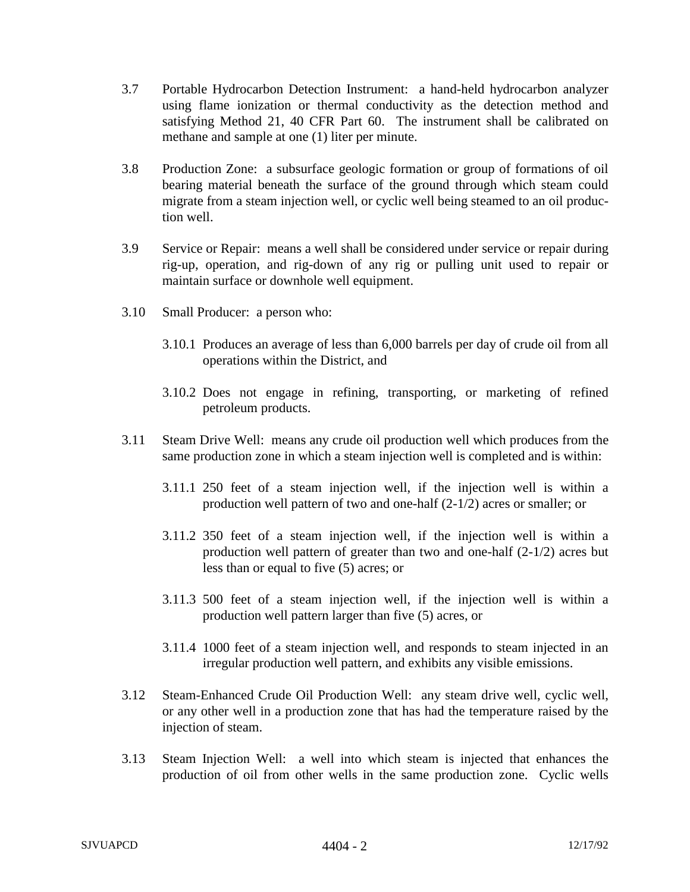- 3.7 Portable Hydrocarbon Detection Instrument: a hand-held hydrocarbon analyzer using flame ionization or thermal conductivity as the detection method and satisfying Method 21, 40 CFR Part 60. The instrument shall be calibrated on methane and sample at one (1) liter per minute.
- 3.8 Production Zone: a subsurface geologic formation or group of formations of oil bearing material beneath the surface of the ground through which steam could migrate from a steam injection well, or cyclic well being steamed to an oil production well.
- 3.9 Service or Repair: means a well shall be considered under service or repair during rig-up, operation, and rig-down of any rig or pulling unit used to repair or maintain surface or downhole well equipment.
- 3.10 Small Producer: a person who:
	- 3.10.1 Produces an average of less than 6,000 barrels per day of crude oil from all operations within the District, and
	- 3.10.2 Does not engage in refining, transporting, or marketing of refined petroleum products.
- 3.11 Steam Drive Well: means any crude oil production well which produces from the same production zone in which a steam injection well is completed and is within:
	- 3.11.1 250 feet of a steam injection well, if the injection well is within a production well pattern of two and one-half (2-1/2) acres or smaller; or
	- 3.11.2 350 feet of a steam injection well, if the injection well is within a production well pattern of greater than two and one-half (2-1/2) acres but less than or equal to five (5) acres; or
	- 3.11.3 500 feet of a steam injection well, if the injection well is within a production well pattern larger than five (5) acres, or
	- 3.11.4 1000 feet of a steam injection well, and responds to steam injected in an irregular production well pattern, and exhibits any visible emissions.
- 3.12 Steam-Enhanced Crude Oil Production Well: any steam drive well, cyclic well, or any other well in a production zone that has had the temperature raised by the injection of steam.
- 3.13 Steam Injection Well: a well into which steam is injected that enhances the production of oil from other wells in the same production zone. Cyclic wells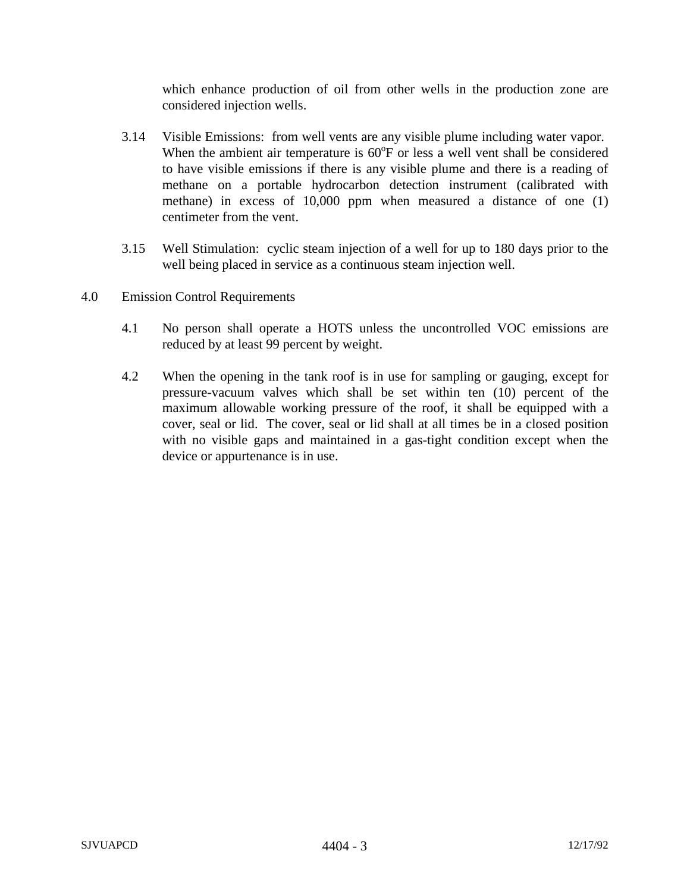which enhance production of oil from other wells in the production zone are considered injection wells.

- 3.14 Visible Emissions: from well vents are any visible plume including water vapor. When the ambient air temperature is  $60^{\circ}$ F or less a well vent shall be considered to have visible emissions if there is any visible plume and there is a reading of methane on a portable hydrocarbon detection instrument (calibrated with methane) in excess of 10,000 ppm when measured a distance of one (1) centimeter from the vent.
- 3.15 Well Stimulation: cyclic steam injection of a well for up to 180 days prior to the well being placed in service as a continuous steam injection well.
- 4.0 Emission Control Requirements
	- 4.1 No person shall operate a HOTS unless the uncontrolled VOC emissions are reduced by at least 99 percent by weight.
	- 4.2 When the opening in the tank roof is in use for sampling or gauging, except for pressure-vacuum valves which shall be set within ten (10) percent of the maximum allowable working pressure of the roof, it shall be equipped with a cover, seal or lid. The cover, seal or lid shall at all times be in a closed position with no visible gaps and maintained in a gas-tight condition except when the device or appurtenance is in use.